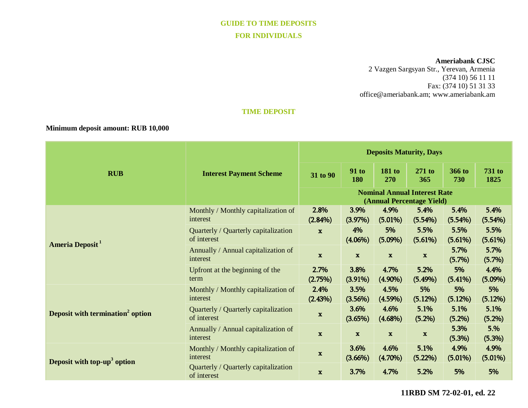# **GUIDE TO TIME DEPOSITS FOR INDIVIDUALS**

#### **Ameriabank CJSC**

2 Vazgen Sargsyan Str., Yerevan, Armenia (374 10) 56 11 11 Fax: (374 10) 51 31 33 [office@ameriabank.am;](mailto:office@ameriabank.am) www.ameriabank.am

### **TIME DEPOSIT**

# **Minimum deposit amount: RUB 10,000**

| <b>RUB</b>                                   | <b>Interest Payment Scheme</b>                      | <b>Deposits Maturity, Days</b>                                   |                     |                      |                    |                    |                       |
|----------------------------------------------|-----------------------------------------------------|------------------------------------------------------------------|---------------------|----------------------|--------------------|--------------------|-----------------------|
|                                              |                                                     | 31 to 90                                                         | <b>91 to</b><br>180 | <b>181 to</b><br>270 | $271$ to<br>365    | 366 to<br>730      | <b>731 to</b><br>1825 |
|                                              |                                                     | <b>Nominal Annual Interest Rate</b><br>(Annual Percentage Yield) |                     |                      |                    |                    |                       |
| Ameria Deposit <sup>1</sup>                  | Monthly / Monthly capitalization of<br>interest     | 2.8%<br>$(2.84\%)$                                               | 3.9%<br>(3.97%)     | 4.9%<br>$(5.01\%)$   | 5.4%<br>(5.54%)    | 5.4%<br>(5.54%)    | 5.4%<br>(5.54%)       |
|                                              | Quarterly / Quarterly capitalization<br>of interest | $\mathbf x$                                                      | 4%<br>$(4.06\%)$    | 5%<br>$(5.09\%)$     | 5.5%<br>(5.61%)    | 5.5%<br>(5.61%)    | 5.5%<br>(5.61%)       |
|                                              | Annually / Annual capitalization of<br>interest     | $\mathbf{x}$                                                     | $\mathbf{x}$        | $\mathbf{x}$         | $\mathbf x$        | 5.7%<br>(5.7%)     | 5.7%<br>(5.7%)        |
|                                              | Upfront at the beginning of the<br>term             | 2.7%<br>(2.75%)                                                  | 3.8%<br>$(3.91\%)$  | 4.7%<br>$(4.90\%)$   | 5.2%<br>$(5.49\%)$ | 5%<br>$(5.41\%)$   | 4.4%<br>$(5.09\%)$    |
| Deposit with termination <sup>2</sup> option | Monthly / Monthly capitalization of<br>interest     | 2.4%<br>(2.43%)                                                  | 3.5%<br>(3.56%)     | 4.5%<br>$(4.59\%)$   | 5%<br>(5.12%)      | 5%<br>(5.12%)      | 5%<br>(5.12%)         |
|                                              | Quarterly / Quarterly capitalization<br>of interest | $\mathbf{x}$                                                     | 3.6%<br>(3.65%)     | 4.6%<br>$(4.68\%)$   | 5.1%<br>(5.2%)     | 5.1%<br>(5.2%)     | 5.1%<br>(5.2%)        |
|                                              | Annually / Annual capitalization of<br>interest     | $\mathbf{x}$                                                     | $\mathbf{x}$        | $\mathbf x$          | $\mathbf x$        | 5.3%<br>(5.3%)     | 5.%<br>(5.3%)         |
| Deposit with top-up <sup>3</sup> option      | Monthly / Monthly capitalization of<br>interest     | $\mathbf x$                                                      | 3.6%<br>$(3.66\%)$  | 4.6%<br>$(4.70\%)$   | 5.1%<br>(5.22%)    | 4.9%<br>$(5.01\%)$ | 4.9%<br>$(5.01\%)$    |
|                                              | Quarterly / Quarterly capitalization<br>of interest | $\mathbf{x}$                                                     | 3.7%                | 4.7%                 | 5.2%               | 5%                 | 5%                    |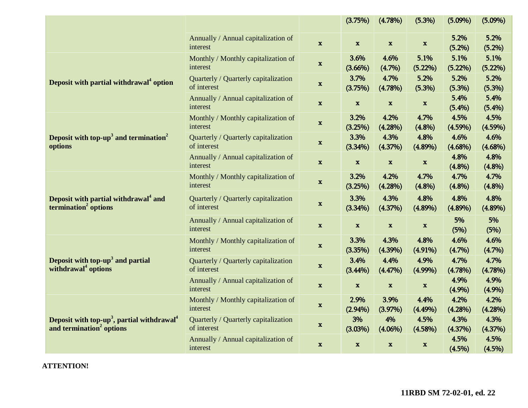|                                                                                                            |                                                     |              | (3.75%)                   | (4.78%)            | (5.3%)             | $(5.09\%)$         | $(5.09\%)$         |
|------------------------------------------------------------------------------------------------------------|-----------------------------------------------------|--------------|---------------------------|--------------------|--------------------|--------------------|--------------------|
|                                                                                                            | Annually / Annual capitalization of<br>interest     | $\mathbf{x}$ | $\mathbf x$               | $\mathbf{x}$       | $\mathbf x$        | 5.2%<br>(5.2%)     | 5.2%<br>(5.2%)     |
| Deposit with partial withdrawal <sup>4</sup> option                                                        | Monthly / Monthly capitalization of<br>interest     | $\mathbf x$  | 3.6%<br>$(3.66\%)$        | 4.6%<br>(4.7%)     | 5.1%<br>(5.22%)    | 5.1%<br>(5.22%)    | 5.1%<br>(5.22%)    |
|                                                                                                            | Quarterly / Quarterly capitalization<br>of interest | $\mathbf{x}$ | 3.7%<br>(3.75%)           | 4.7%<br>(4.78%)    | 5.2%<br>(5.3%)     | 5.2%<br>(5.3%)     | 5.2%<br>(5.3%)     |
|                                                                                                            | Annually / Annual capitalization of<br>interest     | $\mathbf x$  | $\mathbf x$               | $\mathbf x$        | $\mathbf x$        | 5.4%<br>(5.4%)     | 5.4%<br>(5.4%)     |
| Deposit with top-up <sup>3</sup> and termination <sup>2</sup><br>options                                   | Monthly / Monthly capitalization of<br>interest     | $\mathbf x$  | 3.2%<br>(3.25%)           | 4.2%<br>(4.28%)    | 4.7%<br>(4.8%)     | 4.5%<br>(4.59%)    | 4.5%<br>$(4.59\%)$ |
|                                                                                                            | Quarterly / Quarterly capitalization<br>of interest | $\mathbf x$  | 3.3%<br>(3.34%)           | 4.3%<br>(4.37%)    | 4.8%<br>$(4.89\%)$ | 4.6%<br>$(4.68\%)$ | 4.6%<br>$(4.68\%)$ |
|                                                                                                            | Annually / Annual capitalization of<br>interest     | $\mathbf x$  | $\boldsymbol{\mathrm{x}}$ | $\mathbf x$        | $\mathbf x$        | 4.8%<br>(4.8%)     | 4.8%<br>(4.8%)     |
| Deposit with partial withdrawal <sup>4</sup> and<br>termination <sup>2</sup> options                       | Monthly / Monthly capitalization of<br>interest     | $\mathbf{x}$ | 3.2%<br>(3.25%)           | 4.2%<br>(4.28%)    | 4.7%<br>(4.8%)     | 4.7%<br>(4.8%)     | 4.7%<br>(4.8%)     |
|                                                                                                            | Quarterly / Quarterly capitalization<br>of interest | $\mathbf x$  | 3.3%<br>(3.34%)           | 4.3%<br>(4.37%)    | 4.8%<br>$(4.89\%)$ | 4.8%<br>$(4.89\%)$ | 4.8%<br>$(4.89\%)$ |
|                                                                                                            | Annually / Annual capitalization of<br>interest     | $\mathbf x$  | $\mathbf x$               | $\mathbf x$        | $\mathbf x$        | 5%<br>(5%)         | 5%<br>(5%)         |
| Deposit with top- $up3$ and partial<br>withdrawal <sup>4</sup> options                                     | Monthly / Monthly capitalization of<br>interest     | $\mathbf x$  | 3.3%<br>(3.35%)           | 4.3%<br>$(4.39\%)$ | 4.8%<br>$(4.91\%)$ | 4.6%<br>(4.7%)     | 4.6%<br>(4.7%)     |
|                                                                                                            | Quarterly / Quarterly capitalization<br>of interest | $\mathbf x$  | 3.4%<br>(3.44%)           | 4.4%<br>(4.47%)    | 4.9%<br>$(4.99\%)$ | 4.7%<br>(4.78%)    | 4.7%<br>(4.78%)    |
|                                                                                                            | Annually / Annual capitalization of<br>interest     | $\mathbf x$  | $\mathbf x$               | $\mathbf x$        | $\mathbf x$        | 4.9%<br>(4.9%)     | 4.9%<br>(4.9%)     |
| Deposit with top-up <sup>3</sup> , partial withdrawal <sup>4</sup><br>and termination <sup>2</sup> options | Monthly / Monthly capitalization of<br>interest     | $\mathbf x$  | 2.9%<br>$(2.94\%)$        | 3.9%<br>(3.97%)    | 4.4%<br>$(4.49\%)$ | 4.2%<br>(4.28%)    | 4.2%<br>(4.28%)    |
|                                                                                                            | Quarterly / Quarterly capitalization<br>of interest | $\mathbf{x}$ | 3%<br>(3.03%)             | 4%<br>$(4.06\%)$   | 4.5%<br>(4.58%)    | 4.3%<br>(4.37%)    | 4.3%<br>(4.37%)    |
|                                                                                                            | Annually / Annual capitalization of<br>interest     | $\mathbf x$  | $\mathbf x$               | $\mathbf{x}$       | $\mathbf x$        | 4.5%<br>(4.5%)     | 4.5%<br>(4.5%)     |

**ATTENTION!**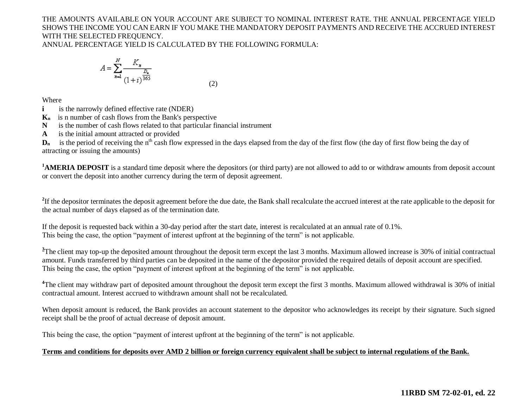# THE AMOUNTS AVAILABLE ON YOUR ACCOUNT ARE SUBJECT TO NOMINAL INTEREST RATE. THE ANNUAL PERCENTAGE YIELD SHOWS THE INCOME YOU CAN EARN IF YOU MAKE THE MANDATORY DEPOSIT PAYMENTS AND RECEIVE THE ACCRUED INTEREST WITH THE SELECTED FREQUENCY.

ANNUAL PERCENTAGE YIELD IS CALCULATED BY THE FOLLOWING FORMULA:

$$
A = \sum_{n=1}^{N} \frac{K_n}{(1+i)^{\frac{D_n}{365}}}
$$
(2)

Where

- **i is the narrowly defined effective rate (NDER)**
- **Kn** is n number of cash flows from the Bank's perspective
- **N** is the number of cash flows related to that particular financial instrument
- **A** is the initial amount attracted or provided

 $D_n$  is the period of receiving the n<sup>th</sup> cash flow expressed in the days elapsed from the day of the first flow (the day of first flow being the day of attracting or issuing the amounts)

<sup>1</sup>**AMERIA DEPOSIT** is a standard time deposit where the depositors (or third party) are not allowed to add to or withdraw amounts from deposit account or convert the deposit into another currency during the term of deposit agreement.

<sup>2</sup>If the depositor terminates the deposit agreement before the due date, the Bank shall recalculate the accrued interest at the rate applicable to the deposit for the actual number of days elapsed as of the termination date.

If the deposit is requested back within a 30-day period after the start date, interest is recalculated at an annual rate of 0.1%. This being the case, the option "payment of interest upfront at the beginning of the term" is not applicable.

<sup>3</sup>The client may top-up the deposited amount throughout the deposit term except the last 3 months. Maximum allowed increase is 30% of initial contractual amount. Funds transferred by third parties can be deposited in the name of the depositor provided the required details of deposit account are specified. This being the case, the option "payment of interest upfront at the beginning of the term" is not applicable.

<sup>4</sup>The client may withdraw part of deposited amount throughout the deposit term except the first 3 months. Maximum allowed withdrawal is 30% of initial contractual amount. Interest accrued to withdrawn amount shall not be recalculated.

When deposit amount is reduced, the Bank provides an account statement to the depositor who acknowledges its receipt by their signature. Such signed receipt shall be the proof of actual decrease of deposit amount.

This being the case, the option "payment of interest upfront at the beginning of the term" is not applicable.

### **Terms and conditions for deposits over AMD 2 billion or foreign currency equivalent shall be subject to internal regulations of the Bank.**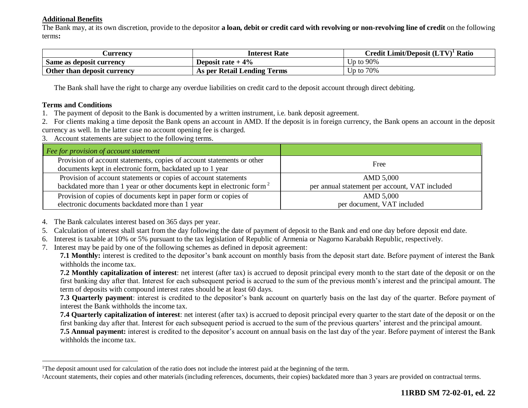### **Additional Benefits**

The Bank may, at its own discretion, provide to the depositor **a loan, debit or credit card with revolving or non-revolving line of credit** on the following terms**:**

| <b>Currency</b>             | <b>Interest Rate</b>        | Credit Limit/Deposit $(LTV)^T$ Ratio |
|-----------------------------|-----------------------------|--------------------------------------|
| Same as deposit currency    | Deposit rate $+4\%$         | Up to $90\%$                         |
| Other than deposit currency | As per Retail Lending Terms | Up to $70\%$                         |

The Bank shall have the right to charge any overdue liabilities on credit card to the deposit account through direct debiting.

#### **Terms and Conditions**

 $\overline{a}$ 

1. The payment of deposit to the Bank is documented by a written instrument, i.e. bank deposit agreement.

2. For clients making a time deposit the Bank opens an account in AMD. If the deposit is in foreign currency, the Bank opens an account in the deposit currency as well. In the latter case no account opening fee is charged.

3. Account statements are subject to the following terms.

| $\vert$ Fee for provision of account statement                                                                                      |                                                |
|-------------------------------------------------------------------------------------------------------------------------------------|------------------------------------------------|
| Provision of account statements, copies of account statements or other<br>documents kept in electronic form, backdated up to 1 year | Free                                           |
| Provision of account statements or copies of account statements                                                                     | AMD 5,000                                      |
| backdated more than 1 year or other documents kept in electronic form <sup>2</sup>                                                  | per annual statement per account, VAT included |
| Provision of copies of documents kept in paper form or copies of                                                                    | AMD 5,000                                      |
| electronic documents backdated more than 1 year                                                                                     | per document, VAT included                     |

4. The Bank calculates interest based on 365 days per year.

- 5. Calculation of interest shall start from the day following the date of payment of deposit to the Bank and end one day before deposit end date.
- 6. Interest is taxable at 10% or 5% pursuant to the tax legislation of Republic of Armenia or Nagorno Karabakh Republic, respectively.
- 7. Interest may be paid by one of the following schemes as defined in deposit agreement:

**7.1 Monthly:** interest is credited to the depositor's bank account on monthly basis from the deposit start date. Before payment of interest the Bank withholds the income tax.

**7.2 Monthly capitalization of interest**: net interest (after tax) is accrued to deposit principal every month to the start date of the deposit or on the first banking day after that. Interest for each subsequent period is accrued to the sum of the previous month's interest and the principal amount. The term of deposits with compound interest rates should be at least 60 days.

**7.3 Quarterly payment**: interest is credited to the depositor's bank account on quarterly basis on the last day of the quarter. Before payment of interest the Bank withholds the income tax.

**7.4 Quarterly capitalization of interest**: net interest (after tax) is accrued to deposit principal every quarter to the start date of the deposit or on the first banking day after that. Interest for each subsequent period is accrued to the sum of the previous quarters' interest and the principal amount.

**7.5 Annual payment:** interest is credited to the depositor's account on annual basis on the last day of the year. Before payment of interest the Bank withholds the income tax.

<sup>&</sup>lt;sup>1</sup>The deposit amount used for calculation of the ratio does not include the interest paid at the beginning of the term.

<sup>2</sup>Account statements, their copies and other materials (including references, documents, their copies) backdated more than 3 years are provided on contractual terms.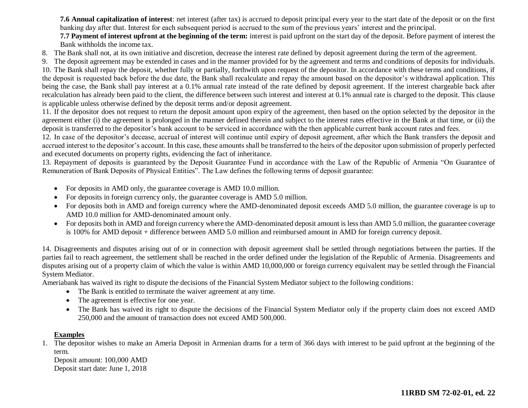**7.6 Annual capitalization of interest**: net interest (after tax) is accrued to deposit principal every year to the start date of the deposit or on the first banking day after that. Interest for each subsequent period is accrued to the sum of the previous years' interest and the principal.

**7.7 Payment of interest upfront at the beginning of the term:** interest is paid upfront on the start day of the deposit. Before payment of interest the Bank withholds the income tax.

8. The Bank shall not, at its own initiative and discretion, decrease the interest rate defined by deposit agreement during the term of the agreement.

9. The deposit agreement may be extended in cases and in the manner provided for by the agreement and terms and conditions of deposits for individuals.

10. The Bank shall repay the deposit, whether fully or partially, forthwith upon request of the depositor. In accordance with these terms and conditions, if the deposit is requested back before the due date, the Bank shall recalculate and repay the amount based on the depositor's withdrawal application. This being the case, the Bank shall pay interest at a 0.1% annual rate instead of the rate defined by deposit agreement. If the interest chargeable back after recalculation has already been paid to the client, the difference between such interest and interest at 0.1% annual rate is charged to the deposit. This clause is applicable unless otherwise defined by the deposit terms and/or deposit agreement.

11. If the depositor does not request to return the deposit amount upon expiry of the agreement, then based on the option selected by the depositor in the agreement either (i) the agreement is prolonged in the manner defined therein and subject to the interest rates effective in the Bank at that time, or (ii) the deposit is transferred to the depositor's bank account to be serviced in accordance with the then applicable current bank account rates and fees.

12. In case of the depositor's decease, accrual of interest will continue until expiry of deposit agreement, after which the Bank transfers the deposit and accrued interest to the depositor's account. In this case, these amounts shall be transferred to the heirs of the depositor upon submission of properly perfected and executed documents on property rights, evidencing the fact of inheritance.

13. Repayment of deposits is guaranteed by the Deposit Guarantee Fund in accordance with the Law of the Republic of Armenia "On Guarantee of Remuneration of Bank Deposits of Physical Entities". The Law defines the following terms of deposit guarantee:

- For deposits in AMD only, the guarantee coverage is AMD 10.0 million.
- For deposits in foreign currency only, the guarantee coverage is AMD 5.0 million.
- For deposits both in AMD and foreign currency where the AMD-denominated deposit exceeds AMD 5.0 million, the guarantee coverage is up to AMD 10.0 million for AMD-denominated amount only.
- For deposits both in AMD and foreign currency where the AMD-denominated deposit amount is less than AMD 5.0 million, the guarantee coverage is 100% for AMD deposit + difference between AMD 5.0 million and reimbursed amount in AMD for foreign currency deposit.

14. Disagreements and disputes arising out of or in connection with deposit agreement shall be settled through negotiations between the parties. If the parties fail to reach agreement, the settlement shall be reached in the order defined under the legislation of the Republic of Armenia. Disagreements and disputes arising out of a property claim of which the value is within AMD 10,000,000 or foreign currency equivalent may be settled through the Financial System Mediator.

Ameriabank has waived its right to dispute the decisions of the Financial System Mediator subject to the following conditions:

- The Bank is entitled to terminate the waiver agreement at any time.
- The agreement is effective for one year.
- The Bank has waived its right to dispute the decisions of the Financial System Mediator only if the property claim does not exceed AMD 250,000 and the amount of transaction does not exceed AMD 500,000.

### **Examples**

1. The depositor wishes to make an Ameria Deposit in Armenian drams for a term of 366 days with interest to be paid upfront at the beginning of the term.

Deposit amount: 100,000 AMD Deposit start date: June 1, 2018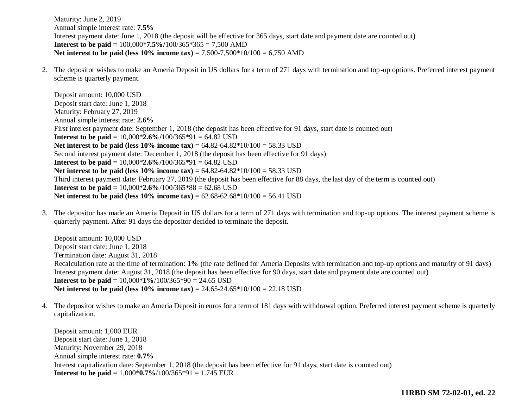Maturity: June 2, 2019 Annual simple interest rate: **7.5%** Interest payment date: June 1, 2018 (the deposit will be effective for 365 days, start date and payment date are counted out) **Interest to be paid** = 100,000\***7.5%/**100/365\*365 = 7,500 AMD **Net interest to be paid (less 10% income tax)** = 7,500-7,500\*10/100 = 6,750 AMD

2. The depositor wishes to make an Ameria Deposit in US dollars for a term of 271 days with termination and top-up options. Preferred interest payment scheme is quarterly payment.

Deposit amount: 10,000 USD Deposit start date: June 1, 2018 Maturity: February 27, 2019 Annual simple interest rate: **2.6%** First interest payment date: September 1, 2018 (the deposit has been effective for 91 days, start date is counted out) **Interest to be paid =**  $10,000*2.6\%/100/365*91 = 64.82$  **USD Net interest to be paid (less**  $10\%$  **income tax) =**  $64.82 - 64.82 \times 10/100 = 58.33 \text{ USD}$ Second interest payment date: December 1, 2018 (the deposit has been effective for 91 days) **Interest to be paid** = 10,000\***2.6%/**100/365\*91 = 64.82 USD **Net interest to be paid (less 10% income tax)** = 64.82-64.82\*10/100 = 58.33 USD Third interest payment date: February 27, 2019 (the deposit has been effective for 88 days, the last day of the term is counted out) **Interest to be paid** = 10,000\***2.6%**/100/365\*88 = 62.68 USD **Net interest to be paid (less 10% income tax)** = 62.68-62.68\*10/100 = 56.41 USD

3. The depositor has made an Ameria Deposit in US dollars for a term of 271 days with termination and top-up options. The interest payment scheme is quarterly payment. After 91 days the depositor decided to terminate the deposit.

Deposit amount: 10,000 USD Deposit start date: June 1, 2018 Termination date: August 31, 2018 Recalculation rate at the time of termination: **1%** (the rate defined for Ameria Deposits with termination and top-up options and maturity of 91 days) Interest payment date: August 31, 2018 (the deposit has been effective for 90 days, start date and payment date are counted out) **Interest to be paid** = 10,000\***1%**/100/365\*90 = 24.65 USD **Net interest to be paid (less 10% income tax)** = 24.65-24.65\*10/100 = 22.18 USD

4. The depositor wishes to make an Ameria Deposit in euros for a term of 181 days with withdrawal option. Preferred interest payment scheme is quarterly capitalization.

Deposit amount: 1,000 EUR Deposit start date: June 1, 2018 Maturity: November 29, 2018 Annual simple interest rate: **0.7%** Interest capitalization date: September 1, 2018 (the deposit has been effective for 91 days, start date is counted out) **Interest to be paid** = 1,000\***0.7%**/100/365\*91 = 1.745 EUR